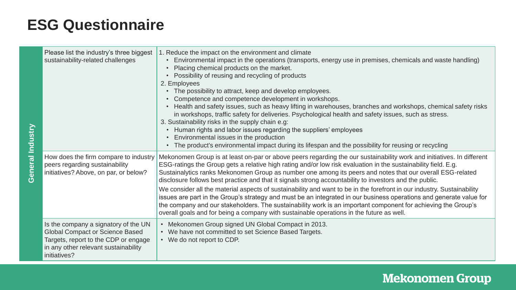| Please list the industry's three biggest<br>sustainability-related challenges                                                                                                  | 1. Reduce the impact on the environment and climate<br>Environmental impact in the operations (transports, energy use in premises, chemicals and waste handling)<br>$\bullet$<br>Placing chemical products on the market.<br>Possibility of reusing and recycling of products<br>2. Employees<br>• The possibility to attract, keep and develop employees.<br>Competence and competence development in workshops.<br>• Health and safety issues, such as heavy lifting in warehouses, branches and workshops, chemical safety risks<br>in workshops, traffic safety for deliveries. Psychological health and safety issues, such as stress.<br>3. Sustainability risks in the supply chain e.g:<br>Human rights and labor issues regarding the suppliers' employees<br>Environmental issues in the production<br>$\bullet$<br>The product's environmental impact during its lifespan and the possibility for reusing or recycling<br>$\bullet$ |
|--------------------------------------------------------------------------------------------------------------------------------------------------------------------------------|------------------------------------------------------------------------------------------------------------------------------------------------------------------------------------------------------------------------------------------------------------------------------------------------------------------------------------------------------------------------------------------------------------------------------------------------------------------------------------------------------------------------------------------------------------------------------------------------------------------------------------------------------------------------------------------------------------------------------------------------------------------------------------------------------------------------------------------------------------------------------------------------------------------------------------------------|
| How does the firm compare to industry<br>peers regarding sustainability<br>initiatives? Above, on par, or below?                                                               | Mekonomen Group is at least on-par or above peers regarding the our sustainability work and initiatives. In different<br>ESG-ratings the Group gets a relative high rating and/or low risk evaluation in the sustainability field. E.g.<br>Sustainalytics ranks Mekonomen Group as number one among its peers and notes that our overall ESG-related<br>disclosure follows best practice and that it signals strong accountability to investors and the public.<br>We consider all the material aspects of sustainability and want to be in the forefront in our industry. Sustainability<br>issues are part in the Group's strategy and must be an integrated in our business operations and generate value for<br>the company and our stakeholders. The sustainability work is an important component for achieving the Group's<br>overall goals and for being a company with sustainable operations in the future as well.                  |
| Is the company a signatory of the UN<br><b>Global Compact or Science Based</b><br>Targets, report to the CDP or engage<br>in any other relevant sustainability<br>initiatives? | • Mekonomen Group signed UN Global Compact in 2013.<br>• We have not committed to set Science Based Targets.<br>• We do not report to CDP.                                                                                                                                                                                                                                                                                                                                                                                                                                                                                                                                                                                                                                                                                                                                                                                                     |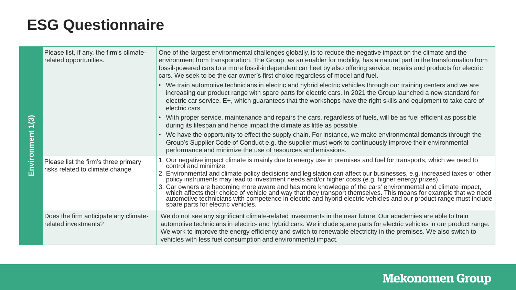| Please list, if any, the firm's climate-<br>related opportunities.      | One of the largest environmental challenges globally, is to reduce the negative impact on the climate and the<br>environment from transportation. The Group, as an enabler for mobility, has a natural part in the transformation from<br>fossil-powered cars to a more fossil-independent car fleet by also offering service, repairs and products for electric<br>cars. We seek to be the car owner's first choice regardless of model and fuel.                                                                                                                                                                                          |
|-------------------------------------------------------------------------|---------------------------------------------------------------------------------------------------------------------------------------------------------------------------------------------------------------------------------------------------------------------------------------------------------------------------------------------------------------------------------------------------------------------------------------------------------------------------------------------------------------------------------------------------------------------------------------------------------------------------------------------|
|                                                                         | • We train automotive technicians in electric and hybrid electric vehicles through our training centers and we are<br>increasing our product range with spare parts for electric cars. In 2021 the Group launched a new standard for<br>electric car service, E+, which guarantees that the workshops have the right skills and equipment to take care of<br>electric cars.                                                                                                                                                                                                                                                                 |
|                                                                         | With proper service, maintenance and repairs the cars, regardless of fuels, will be as fuel efficient as possible<br>during its lifespan and hence impact the climate as little as possible.                                                                                                                                                                                                                                                                                                                                                                                                                                                |
|                                                                         | We have the opportunity to effect the supply chain. For instance, we make environmental demands through the<br>Group's Supplier Code of Conduct e.g. the supplier must work to continuously improve their environmental<br>performance and minimize the use of resources and emissions.                                                                                                                                                                                                                                                                                                                                                     |
| Please list the firm's three primary<br>risks related to climate change | 1. Our negative impact climate is mainly due to energy use in premises and fuel for transports, which we need to<br>control and minimize.<br>2. Environmental and climate policy decisions and legislation can affect our businesses, e.g. increased taxes or other policy instruments may lead to investment needs and/or higher costs (e.g. higher energy prizes).<br>3. Car owners are becoming more aware and has more knowledge of the cars' environmental and climate impact, which affects their choice of vehicle and way that they transport themselves. This means for example that we need<br>spare parts for electric vehicles. |
| Does the firm anticipate any climate-<br>related investments?           | We do not see any significant climate-related investments in the near future. Our academies are able to train<br>automotive technicians in electric- and hybrid cars. We include spare parts for electric vehicles in our product range.<br>We work to improve the energy efficiency and switch to renewable electricity in the premises. We also switch to<br>vehicles with less fuel consumption and environmental impact.                                                                                                                                                                                                                |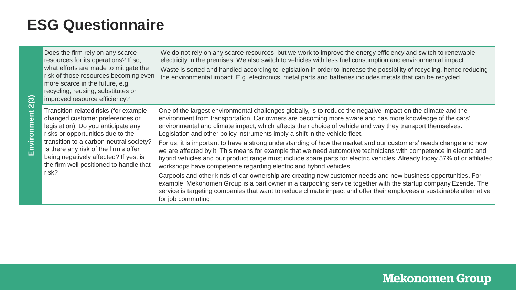|  | Does the firm rely on any scarce<br>resources for its operations? If so,<br>what efforts are made to mitigate the<br>risk of those resources becoming even<br>more scarce in the future, e.g.<br>recycling, reusing, substitutes or<br>improved resource efficiency?                                                                  | We do not rely on any scarce resources, but we work to improve the energy efficiency and switch to renewable<br>electricity in the premises. We also switch to vehicles with less fuel consumption and environmental impact.<br>Waste is sorted and handled according to legislation in order to increase the possibility of recycling, hence reducing<br>the environmental impact. E.g. electronics, metal parts and batteries includes metals that can be recycled. |
|--|---------------------------------------------------------------------------------------------------------------------------------------------------------------------------------------------------------------------------------------------------------------------------------------------------------------------------------------|-----------------------------------------------------------------------------------------------------------------------------------------------------------------------------------------------------------------------------------------------------------------------------------------------------------------------------------------------------------------------------------------------------------------------------------------------------------------------|
|  | Transition-related risks (for example<br>changed customer preferences or<br>legislation): Do you anticipate any<br>risks or opportunities due to the<br>transition to a carbon-neutral society?<br>Is there any risk of the firm's offer<br>being negatively affected? If yes, is<br>the firm well positioned to handle that<br>risk? | One of the largest environmental challenges globally, is to reduce the negative impact on the climate and the<br>environment from transportation. Car owners are becoming more aware and has more knowledge of the cars'<br>environmental and climate impact, which affects their choice of vehicle and way they transport themselves.<br>Legislation and other policy instruments imply a shift in the vehicle fleet.                                                |
|  |                                                                                                                                                                                                                                                                                                                                       | For us, it is important to have a strong understanding of how the market and our customers' needs change and how<br>we are affected by it. This means for example that we need automotive technicians with competence in electric and<br>hybrid vehicles and our product range must include spare parts for electric vehicles. Already today 57% of or affiliated<br>workshops have competence regarding electric and hybrid vehicles.                                |
|  |                                                                                                                                                                                                                                                                                                                                       | Carpools and other kinds of car ownership are creating new customer needs and new business opportunities. For<br>example, Mekonomen Group is a part owner in a carpooling service together with the startup company Ezeride. The<br>service is targeting companies that want to reduce climate impact and offer their employees a sustainable alternative<br>for job commuting.                                                                                       |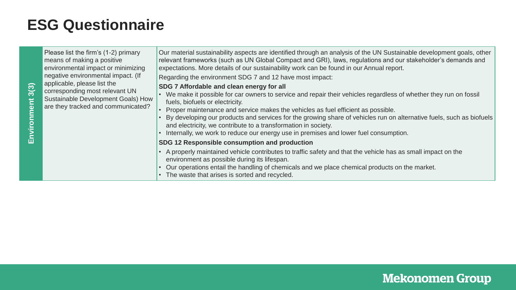| 3(3)<br>ment<br>έ | Please list the firm's (1-2) primary<br>means of making a positive<br>environmental impact or minimizing<br>negative environmental impact. (If<br>applicable, please list the<br>corresponding most relevant UN<br>Sustainable Development Goals) How<br>are they tracked and communicated? | Our material sustainability aspects are identified through an analysis of the UN Sustainable development goals, other<br>relevant frameworks (such as UN Global Compact and GRI), laws, regulations and our stakeholder's demands and<br>expectations. More details of our sustainability work can be found in our Annual report.<br>Regarding the environment SDG 7 and 12 have most impact:<br>SDG 7 Affordable and clean energy for all<br>• We make it possible for car owners to service and repair their vehicles regardless of whether they run on fossil<br>fuels, biofuels or electricity.<br>Proper maintenance and service makes the vehicles as fuel efficient as possible.<br>By developing our products and services for the growing share of vehicles run on alternative fuels, such as biofuels<br>and electricity, we contribute to a transformation in society.<br>Internally, we work to reduce our energy use in premises and lower fuel consumption. |
|-------------------|---------------------------------------------------------------------------------------------------------------------------------------------------------------------------------------------------------------------------------------------------------------------------------------------|---------------------------------------------------------------------------------------------------------------------------------------------------------------------------------------------------------------------------------------------------------------------------------------------------------------------------------------------------------------------------------------------------------------------------------------------------------------------------------------------------------------------------------------------------------------------------------------------------------------------------------------------------------------------------------------------------------------------------------------------------------------------------------------------------------------------------------------------------------------------------------------------------------------------------------------------------------------------------|
|                   |                                                                                                                                                                                                                                                                                             | SDG 12 Responsible consumption and production                                                                                                                                                                                                                                                                                                                                                                                                                                                                                                                                                                                                                                                                                                                                                                                                                                                                                                                             |
|                   |                                                                                                                                                                                                                                                                                             | • A properly maintained vehicle contributes to traffic safety and that the vehicle has as small impact on the<br>environment as possible during its lifespan.<br>Our operations entail the handling of chemicals and we place chemical products on the market.<br>The waste that arises is sorted and recycled.                                                                                                                                                                                                                                                                                                                                                                                                                                                                                                                                                                                                                                                           |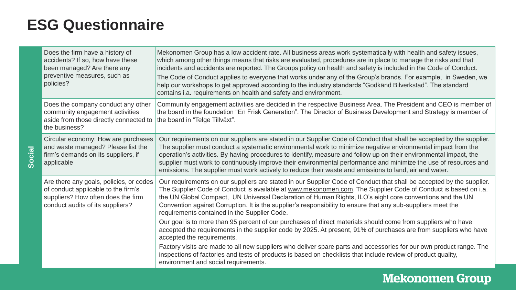**Social**

| Does the firm have a history of<br>accidents? If so, how have these<br>been managed? Are there any<br>preventive measures, such as<br>policies?          | Mekonomen Group has a low accident rate. All business areas work systematically with health and safety issues,<br>which among other things means that risks are evaluated, procedures are in place to manage the risks and that<br>incidents and accidents are reported. The Groups policy on health and safety is included in the Code of Conduct.<br>The Code of Conduct applies to everyone that works under any of the Group's brands. For example, in Sweden, we<br>help our workshops to get approved according to the industry standards "Godkänd Bilverkstad". The standard<br>contains i.a. requirements on health and safety and environment. |
|----------------------------------------------------------------------------------------------------------------------------------------------------------|---------------------------------------------------------------------------------------------------------------------------------------------------------------------------------------------------------------------------------------------------------------------------------------------------------------------------------------------------------------------------------------------------------------------------------------------------------------------------------------------------------------------------------------------------------------------------------------------------------------------------------------------------------|
| Does the company conduct any other<br>community engagement activities<br>aside from those directly connected to<br>the business?                         | Community engagement activities are decided in the respective Business Area. The President and CEO is member of<br>the board in the foundation "En Frisk Generation". The Director of Business Development and Strategy is member of<br>the board in "Telge Tillväxt".                                                                                                                                                                                                                                                                                                                                                                                  |
| Circular economy: How are purchases<br>and waste managed? Please list the<br>firm's demands on its suppliers, if<br>applicable                           | Our requirements on our suppliers are stated in our Supplier Code of Conduct that shall be accepted by the supplier.<br>The supplier must conduct a systematic environmental work to minimize negative environmental impact from the<br>operation's activities. By having procedures to identify, measure and follow up on their environmental impact, the<br>supplier must work to continuously improve their environmental performance and minimize the use of resources and<br>emissions. The supplier must work actively to reduce their waste and emissions to land, air and water.                                                                |
| Are there any goals, policies, or codes<br>of conduct applicable to the firm's<br>suppliers? How often does the firm<br>conduct audits of its suppliers? | Our requirements on our suppliers are stated in our Supplier Code of Conduct that shall be accepted by the supplier.<br>The Supplier Code of Conduct is available at www.mekonomen.com. The Supplier Code of Conduct is based on i.a.<br>the UN Global Compact, UN Universal Declaration of Human Rights, ILO's eight core conventions and the UN<br>Convention against Corruption. It is the supplier's responsibility to ensure that any sub-suppliers meet the<br>requirements contained in the Supplier Code.                                                                                                                                       |
|                                                                                                                                                          | Our goal is to more than 95 percent of our purchases of direct materials should come from suppliers who have<br>accepted the requirements in the supplier code by 2025. At present, 91% of purchases are from suppliers who have<br>accepted the requirements.                                                                                                                                                                                                                                                                                                                                                                                          |
|                                                                                                                                                          | Factory visits are made to all new suppliers who deliver spare parts and accessories for our own product range. The<br>inspections of factories and tests of products is based on checklists that include review of product quality,<br>environment and social requirements.                                                                                                                                                                                                                                                                                                                                                                            |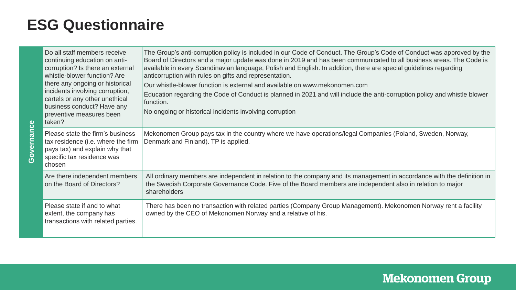**Governance**

| Do all staff members receive<br>continuing education on anti-<br>corruption? Is there an external<br>whistle-blower function? Are<br>there any ongoing or historical<br>incidents involving corruption,<br>cartels or any other unethical<br>business conduct? Have any<br>preventive measures been<br>taken? | The Group's anti-corruption policy is included in our Code of Conduct. The Group's Code of Conduct was approved by the<br>Board of Directors and a major update was done in 2019 and has been communicated to all business areas. The Code is<br>available in every Scandinavian language, Polish and English. In addition, there are special guidelines regarding<br>anticorruption with rules on gifts and representation.<br>Our whistle-blower function is external and available on www.mekonomen.com<br>Education regarding the Code of Conduct is planned in 2021 and will include the anti-corruption policy and whistle blower<br>function.<br>No ongoing or historical incidents involving corruption |
|---------------------------------------------------------------------------------------------------------------------------------------------------------------------------------------------------------------------------------------------------------------------------------------------------------------|-----------------------------------------------------------------------------------------------------------------------------------------------------------------------------------------------------------------------------------------------------------------------------------------------------------------------------------------------------------------------------------------------------------------------------------------------------------------------------------------------------------------------------------------------------------------------------------------------------------------------------------------------------------------------------------------------------------------|
| Please state the firm's business<br>tax residence (i.e. where the firm<br>pays tax) and explain why that<br>specific tax residence was<br>chosen                                                                                                                                                              | Mekonomen Group pays tax in the country where we have operations/legal Companies (Poland, Sweden, Norway,<br>Denmark and Finland). TP is applied.                                                                                                                                                                                                                                                                                                                                                                                                                                                                                                                                                               |
| Are there independent members<br>on the Board of Directors?                                                                                                                                                                                                                                                   | All ordinary members are independent in relation to the company and its management in accordance with the definition in<br>the Swedish Corporate Governance Code. Five of the Board members are independent also in relation to major<br>shareholders                                                                                                                                                                                                                                                                                                                                                                                                                                                           |
| Please state if and to what<br>extent, the company has<br>transactions with related parties.                                                                                                                                                                                                                  | There has been no transaction with related parties (Company Group Management). Mekonomen Norway rent a facility<br>owned by the CEO of Mekonomen Norway and a relative of his.                                                                                                                                                                                                                                                                                                                                                                                                                                                                                                                                  |